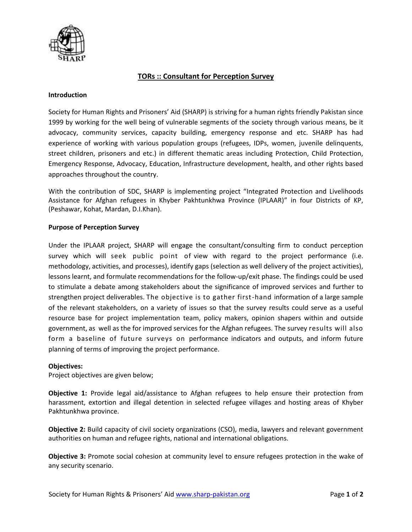

# **TORs :: Consultant for Perception Survey**

### **Introduction**

Society for Human Rights and Prisoners' Aid (SHARP) is striving for a human rights friendly Pakistan since 1999 by working for the well being of vulnerable segments of the society through various means, be it advocacy, community services, capacity building, emergency response and etc. SHARP has had experience of working with various population groups (refugees, IDPs, women, juvenile delinquents, street children, prisoners and etc.) in different thematic areas including Protection, Child Protection, Emergency Response, Advocacy, Education, Infrastructure development, health, and other rights based approaches throughout the country.

With the contribution of SDC, SHARP is implementing project "Integrated Protection and Livelihoods Assistance for Afghan refugees in Khyber Pakhtunkhwa Province (IPLAAR)" in four Districts of KP, (Peshawar, Kohat, Mardan, D.I.Khan).

### **Purpose of Perception Survey**

Under the IPLAAR project, SHARP will engage the consultant/consulting firm to conduct perception survey which will seek public point of view with regard to the project performance (i.e. methodology, activities, and processes), identify gaps (selection as well delivery of the project activities), lessons learnt, and formulate recommendations for the follow-up/exit phase. The findings could be used to stimulate a debate among stakeholders about the significance of improved services and further to strengthen project deliverables. The objective is to gather first-hand information of a large sample of the relevant stakeholders, on a variety of issues so that the survey results could serve as a useful resource base for project implementation team, policy makers, opinion shapers within and outside government, as well as the for improved services for the Afghan refugees. The survey results will also form a baseline of future surveys on performance indicators and outputs, and inform future planning of terms of improving the project performance.

### **Objectives:**

Project objectives are given below;

**Objective 1:** Provide legal aid/assistance to Afghan refugees to help ensure their protection from harassment, extortion and illegal detention in selected refugee villages and hosting areas of Khyber Pakhtunkhwa province.

**Objective 2:** Build capacity of civil society organizations (CSO), media, lawyers and relevant government authorities on human and refugee rights, national and international obligations.

**Objective 3:** Promote social cohesion at community level to ensure refugees protection in the wake of any security scenario.